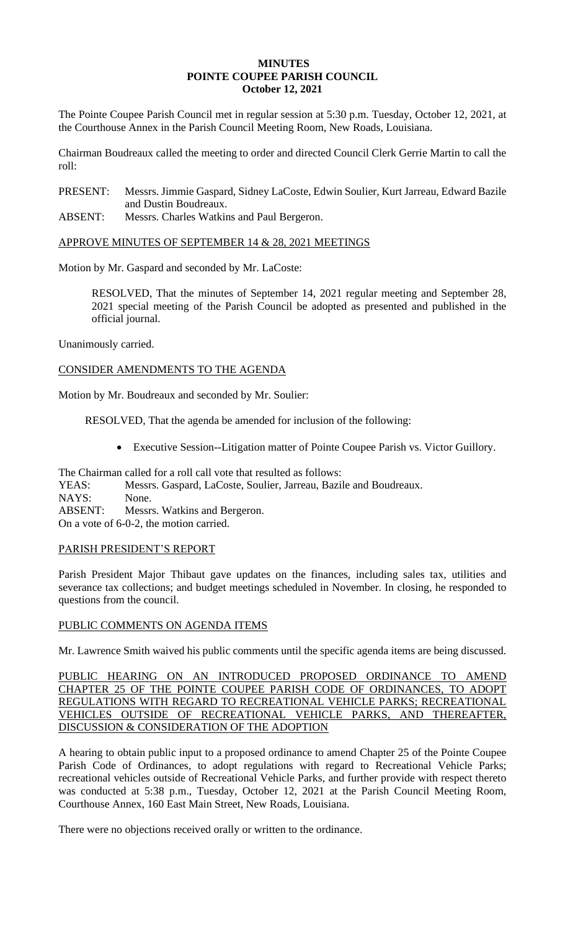### **MINUTES POINTE COUPEE PARISH COUNCIL October 12, 2021**

The Pointe Coupee Parish Council met in regular session at 5:30 p.m. Tuesday, October 12, 2021, at the Courthouse Annex in the Parish Council Meeting Room, New Roads, Louisiana.

Chairman Boudreaux called the meeting to order and directed Council Clerk Gerrie Martin to call the roll:

PRESENT: Messrs. Jimmie Gaspard, Sidney LaCoste, Edwin Soulier, Kurt Jarreau, Edward Bazile and Dustin Boudreaux.

ABSENT: Messrs. Charles Watkins and Paul Bergeron.

## APPROVE MINUTES OF SEPTEMBER 14 & 28, 2021 MEETINGS

Motion by Mr. Gaspard and seconded by Mr. LaCoste:

RESOLVED, That the minutes of September 14, 2021 regular meeting and September 28, 2021 special meeting of the Parish Council be adopted as presented and published in the official journal.

Unanimously carried.

## CONSIDER AMENDMENTS TO THE AGENDA

Motion by Mr. Boudreaux and seconded by Mr. Soulier:

RESOLVED, That the agenda be amended for inclusion of the following:

• Executive Session--Litigation matter of Pointe Coupee Parish vs. Victor Guillory.

The Chairman called for a roll call vote that resulted as follows: YEAS: Messrs. Gaspard, LaCoste, Soulier, Jarreau, Bazile and Boudreaux. NAYS: None. ABSENT: Messrs. Watkins and Bergeron. On a vote of 6-0-2, the motion carried.

## PARISH PRESIDENT'S REPORT

Parish President Major Thibaut gave updates on the finances, including sales tax, utilities and severance tax collections; and budget meetings scheduled in November. In closing, he responded to questions from the council.

# PUBLIC COMMENTS ON AGENDA ITEMS

Mr. Lawrence Smith waived his public comments until the specific agenda items are being discussed.

PUBLIC HEARING ON AN INTRODUCED PROPOSED ORDINANCE TO AMEND CHAPTER 25 OF THE POINTE COUPEE PARISH CODE OF ORDINANCES, TO ADOPT REGULATIONS WITH REGARD TO RECREATIONAL VEHICLE PARKS; RECREATIONAL VEHICLES OUTSIDE OF RECREATIONAL VEHICLE PARKS, AND THEREAFTER, DISCUSSION & CONSIDERATION OF THE ADOPTION

A hearing to obtain public input to a proposed ordinance to amend Chapter 25 of the Pointe Coupee Parish Code of Ordinances, to adopt regulations with regard to Recreational Vehicle Parks; recreational vehicles outside of Recreational Vehicle Parks, and further provide with respect thereto was conducted at 5:38 p.m., Tuesday, October 12, 2021 at the Parish Council Meeting Room, Courthouse Annex, 160 East Main Street, New Roads, Louisiana.

There were no objections received orally or written to the ordinance.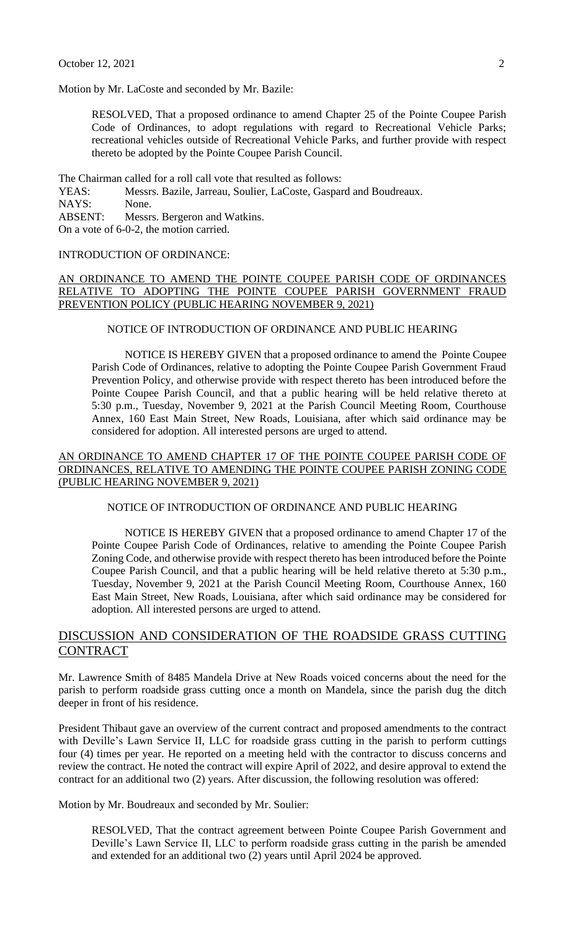Motion by Mr. LaCoste and seconded by Mr. Bazile:

RESOLVED, That a proposed ordinance to amend Chapter 25 of the Pointe Coupee Parish Code of Ordinances, to adopt regulations with regard to Recreational Vehicle Parks; recreational vehicles outside of Recreational Vehicle Parks, and further provide with respect thereto be adopted by the Pointe Coupee Parish Council.

The Chairman called for a roll call vote that resulted as follows:

YEAS: Messrs. Bazile, Jarreau, Soulier, LaCoste, Gaspard and Boudreaux. NAYS: None. ABSENT: Messrs. Bergeron and Watkins.

On a vote of 6-0-2, the motion carried.

## INTRODUCTION OF ORDINANCE:

## AN ORDINANCE TO AMEND THE POINTE COUPEE PARISH CODE OF ORDINANCES RELATIVE TO ADOPTING THE POINTE COUPEE PARISH GOVERNMENT FRAUD PREVENTION POLICY (PUBLIC HEARING NOVEMBER 9, 2021)

#### NOTICE OF INTRODUCTION OF ORDINANCE AND PUBLIC HEARING

NOTICE IS HEREBY GIVEN that a proposed ordinance to amend the Pointe Coupee Parish Code of Ordinances, relative to adopting the Pointe Coupee Parish Government Fraud Prevention Policy, and otherwise provide with respect thereto has been introduced before the Pointe Coupee Parish Council, and that a public hearing will be held relative thereto at 5:30 p.m., Tuesday, November 9, 2021 at the Parish Council Meeting Room, Courthouse Annex, 160 East Main Street, New Roads, Louisiana, after which said ordinance may be considered for adoption. All interested persons are urged to attend.

### AN ORDINANCE TO AMEND CHAPTER 17 OF THE POINTE COUPEE PARISH CODE OF ORDINANCES, RELATIVE TO AMENDING THE POINTE COUPEE PARISH ZONING CODE (PUBLIC HEARING NOVEMBER 9, 2021)

## NOTICE OF INTRODUCTION OF ORDINANCE AND PUBLIC HEARING

NOTICE IS HEREBY GIVEN that a proposed ordinance to amend Chapter 17 of the Pointe Coupee Parish Code of Ordinances, relative to amending the Pointe Coupee Parish Zoning Code, and otherwise provide with respect thereto has been introduced before the Pointe Coupee Parish Council, and that a public hearing will be held relative thereto at 5:30 p.m., Tuesday, November 9, 2021 at the Parish Council Meeting Room, Courthouse Annex, 160 East Main Street, New Roads, Louisiana, after which said ordinance may be considered for adoption. All interested persons are urged to attend.

# DISCUSSION AND CONSIDERATION OF THE ROADSIDE GRASS CUTTING **CONTRACT**

Mr. Lawrence Smith of 8485 Mandela Drive at New Roads voiced concerns about the need for the parish to perform roadside grass cutting once a month on Mandela, since the parish dug the ditch deeper in front of his residence.

President Thibaut gave an overview of the current contract and proposed amendments to the contract with Deville's Lawn Service II, LLC for roadside grass cutting in the parish to perform cuttings four (4) times per year. He reported on a meeting held with the contractor to discuss concerns and review the contract. He noted the contract will expire April of 2022, and desire approval to extend the contract for an additional two (2) years. After discussion, the following resolution was offered:

Motion by Mr. Boudreaux and seconded by Mr. Soulier:

RESOLVED, That the contract agreement between Pointe Coupee Parish Government and Deville's Lawn Service II, LLC to perform roadside grass cutting in the parish be amended and extended for an additional two (2) years until April 2024 be approved.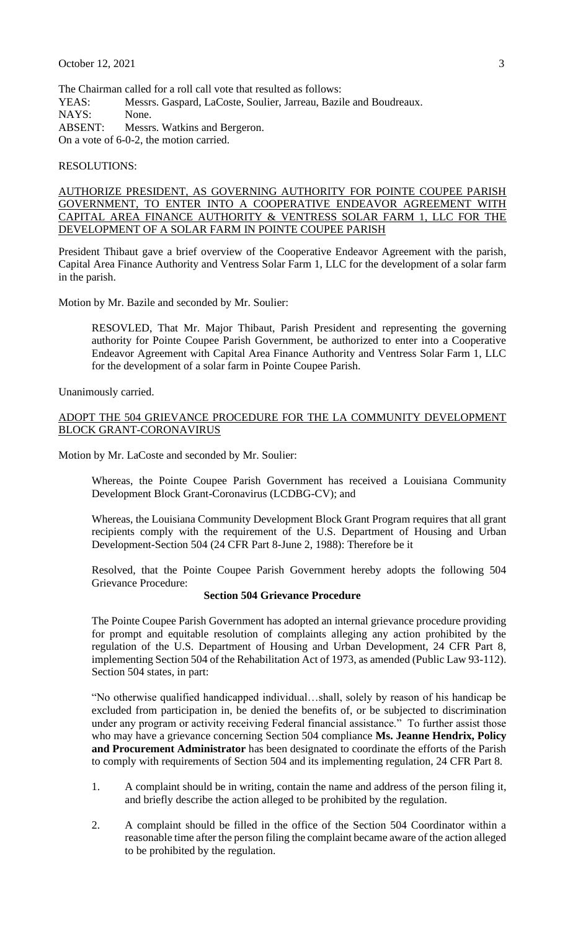The Chairman called for a roll call vote that resulted as follows: YEAS: Messrs. Gaspard, LaCoste, Soulier, Jarreau, Bazile and Boudreaux. NAYS: None. ABSENT: Messrs. Watkins and Bergeron. On a vote of 6-0-2, the motion carried.

RESOLUTIONS:

AUTHORIZE PRESIDENT, AS GOVERNING AUTHORITY FOR POINTE COUPEE PARISH GOVERNMENT, TO ENTER INTO A COOPERATIVE ENDEAVOR AGREEMENT WITH CAPITAL AREA FINANCE AUTHORITY & VENTRESS SOLAR FARM 1, LLC FOR THE DEVELOPMENT OF A SOLAR FARM IN POINTE COUPEE PARISH

President Thibaut gave a brief overview of the Cooperative Endeavor Agreement with the parish, Capital Area Finance Authority and Ventress Solar Farm 1, LLC for the development of a solar farm in the parish.

Motion by Mr. Bazile and seconded by Mr. Soulier:

RESOVLED, That Mr. Major Thibaut, Parish President and representing the governing authority for Pointe Coupee Parish Government, be authorized to enter into a Cooperative Endeavor Agreement with Capital Area Finance Authority and Ventress Solar Farm 1, LLC for the development of a solar farm in Pointe Coupee Parish.

Unanimously carried.

#### ADOPT THE 504 GRIEVANCE PROCEDURE FOR THE LA COMMUNITY DEVELOPMENT BLOCK GRANT-CORONAVIRUS

Motion by Mr. LaCoste and seconded by Mr. Soulier:

Whereas, the Pointe Coupee Parish Government has received a Louisiana Community Development Block Grant-Coronavirus (LCDBG-CV); and

Whereas, the Louisiana Community Development Block Grant Program requires that all grant recipients comply with the requirement of the U.S. Department of Housing and Urban Development-Section 504 (24 CFR Part 8-June 2, 1988): Therefore be it

Resolved, that the Pointe Coupee Parish Government hereby adopts the following 504 Grievance Procedure:

#### **Section 504 Grievance Procedure**

The Pointe Coupee Parish Government has adopted an internal grievance procedure providing for prompt and equitable resolution of complaints alleging any action prohibited by the regulation of the U.S. Department of Housing and Urban Development, 24 CFR Part 8, implementing Section 504 of the Rehabilitation Act of 1973, as amended (Public Law 93-112). Section 504 states, in part:

"No otherwise qualified handicapped individual…shall, solely by reason of his handicap be excluded from participation in, be denied the benefits of, or be subjected to discrimination under any program or activity receiving Federal financial assistance." To further assist those who may have a grievance concerning Section 504 compliance **Ms. Jeanne Hendrix, Policy and Procurement Administrator** has been designated to coordinate the efforts of the Parish to comply with requirements of Section 504 and its implementing regulation, 24 CFR Part 8.

- 1. A complaint should be in writing, contain the name and address of the person filing it, and briefly describe the action alleged to be prohibited by the regulation.
- 2. A complaint should be filled in the office of the Section 504 Coordinator within a reasonable time after the person filing the complaint became aware of the action alleged to be prohibited by the regulation.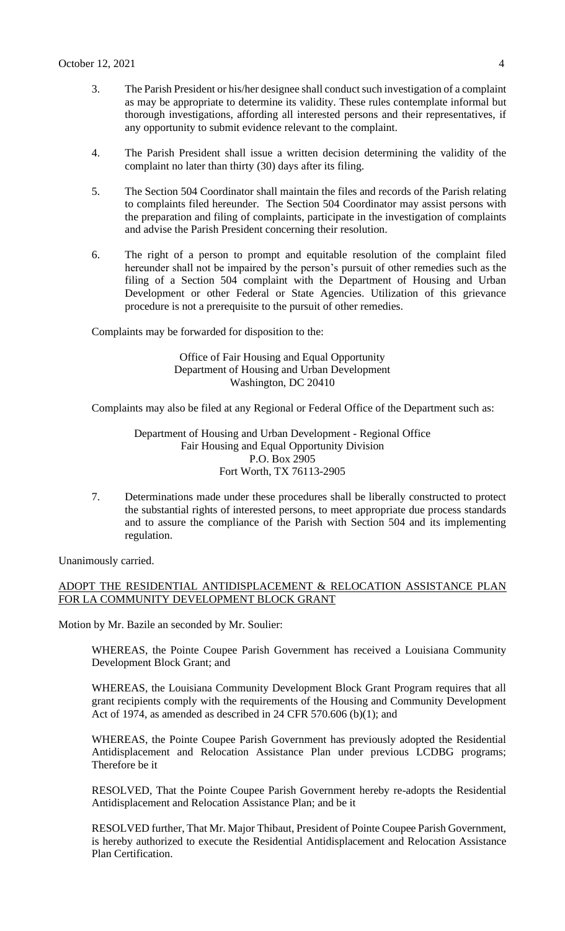- 3. The Parish President or his/her designee shall conduct such investigation of a complaint as may be appropriate to determine its validity. These rules contemplate informal but thorough investigations, affording all interested persons and their representatives, if any opportunity to submit evidence relevant to the complaint.
- 4. The Parish President shall issue a written decision determining the validity of the complaint no later than thirty (30) days after its filing.
- 5. The Section 504 Coordinator shall maintain the files and records of the Parish relating to complaints filed hereunder. The Section 504 Coordinator may assist persons with the preparation and filing of complaints, participate in the investigation of complaints and advise the Parish President concerning their resolution.
- 6. The right of a person to prompt and equitable resolution of the complaint filed hereunder shall not be impaired by the person's pursuit of other remedies such as the filing of a Section 504 complaint with the Department of Housing and Urban Development or other Federal or State Agencies. Utilization of this grievance procedure is not a prerequisite to the pursuit of other remedies.

Complaints may be forwarded for disposition to the:

### Office of Fair Housing and Equal Opportunity Department of Housing and Urban Development Washington, DC 20410

Complaints may also be filed at any Regional or Federal Office of the Department such as:

Department of Housing and Urban Development - Regional Office Fair Housing and Equal Opportunity Division P.O. Box 2905 Fort Worth, TX 76113-2905

7. Determinations made under these procedures shall be liberally constructed to protect the substantial rights of interested persons, to meet appropriate due process standards and to assure the compliance of the Parish with Section 504 and its implementing regulation.

Unanimously carried.

## ADOPT THE RESIDENTIAL ANTIDISPLACEMENT & RELOCATION ASSISTANCE PLAN FOR LA COMMUNITY DEVELOPMENT BLOCK GRANT

Motion by Mr. Bazile an seconded by Mr. Soulier:

WHEREAS, the Pointe Coupee Parish Government has received a Louisiana Community Development Block Grant; and

WHEREAS, the Louisiana Community Development Block Grant Program requires that all grant recipients comply with the requirements of the Housing and Community Development Act of 1974, as amended as described in 24 CFR 570.606 (b)(1); and

WHEREAS, the Pointe Coupee Parish Government has previously adopted the Residential Antidisplacement and Relocation Assistance Plan under previous LCDBG programs; Therefore be it

RESOLVED, That the Pointe Coupee Parish Government hereby re-adopts the Residential Antidisplacement and Relocation Assistance Plan; and be it

RESOLVED further, That Mr. Major Thibaut, President of Pointe Coupee Parish Government, is hereby authorized to execute the Residential Antidisplacement and Relocation Assistance Plan Certification.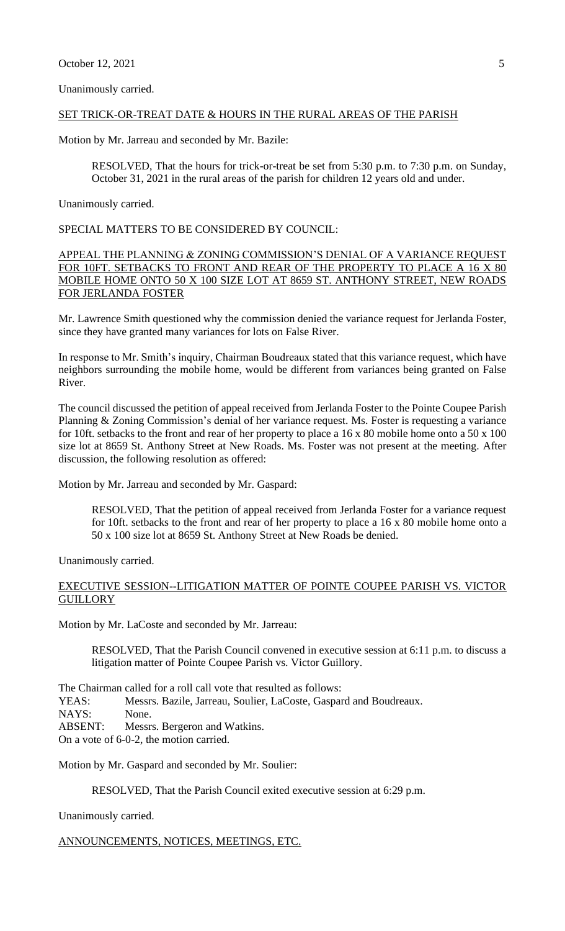Unanimously carried.

## SET TRICK-OR-TREAT DATE & HOURS IN THE RURAL AREAS OF THE PARISH

Motion by Mr. Jarreau and seconded by Mr. Bazile:

RESOLVED, That the hours for trick-or-treat be set from 5:30 p.m. to 7:30 p.m. on Sunday, October 31, 2021 in the rural areas of the parish for children 12 years old and under.

Unanimously carried.

SPECIAL MATTERS TO BE CONSIDERED BY COUNCIL:

APPEAL THE PLANNING & ZONING COMMISSION'S DENIAL OF A VARIANCE REQUEST FOR 10FT. SETBACKS TO FRONT AND REAR OF THE PROPERTY TO PLACE A 16 X 80 MOBILE HOME ONTO 50 X 100 SIZE LOT AT 8659 ST. ANTHONY STREET, NEW ROADS FOR JERLANDA FOSTER

Mr. Lawrence Smith questioned why the commission denied the variance request for Jerlanda Foster, since they have granted many variances for lots on False River.

In response to Mr. Smith's inquiry, Chairman Boudreaux stated that this variance request, which have neighbors surrounding the mobile home, would be different from variances being granted on False River.

The council discussed the petition of appeal received from Jerlanda Foster to the Pointe Coupee Parish Planning & Zoning Commission's denial of her variance request. Ms. Foster is requesting a variance for 10ft. setbacks to the front and rear of her property to place a 16 x 80 mobile home onto a 50 x 100 size lot at 8659 St. Anthony Street at New Roads. Ms. Foster was not present at the meeting. After discussion, the following resolution as offered:

Motion by Mr. Jarreau and seconded by Mr. Gaspard:

RESOLVED, That the petition of appeal received from Jerlanda Foster for a variance request for 10ft. setbacks to the front and rear of her property to place a 16 x 80 mobile home onto a 50 x 100 size lot at 8659 St. Anthony Street at New Roads be denied.

Unanimously carried.

## EXECUTIVE SESSION--LITIGATION MATTER OF POINTE COUPEE PARISH VS. VICTOR **GUILLORY**

Motion by Mr. LaCoste and seconded by Mr. Jarreau:

RESOLVED, That the Parish Council convened in executive session at 6:11 p.m. to discuss a litigation matter of Pointe Coupee Parish vs. Victor Guillory.

The Chairman called for a roll call vote that resulted as follows:

YEAS: Messrs. Bazile, Jarreau, Soulier, LaCoste, Gaspard and Boudreaux.

NAYS: None.

ABSENT: Messrs. Bergeron and Watkins.

On a vote of 6-0-2, the motion carried.

Motion by Mr. Gaspard and seconded by Mr. Soulier:

RESOLVED, That the Parish Council exited executive session at 6:29 p.m.

Unanimously carried.

ANNOUNCEMENTS, NOTICES, MEETINGS, ETC.